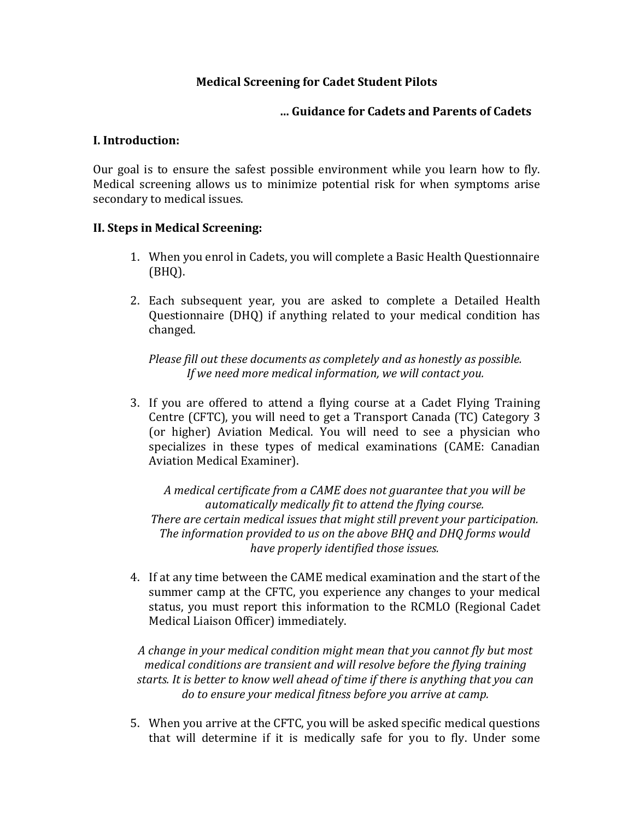## **Medical Screening for Cadet Student Pilots**

### **… Guidance for Cadets and Parents of Cadets**

#### **I. Introduction:**

Our goal is to ensure the safest possible environment while you learn how to fly. Medical screening allows us to minimize potential risk for when symptoms arise secondary to medical issues.

### **II. Steps in Medical Screening:**

- 1. When you enrol in Cadets, you will complete a Basic Health Questionnaire (BHQ).
- 2. Each subsequent year, you are asked to complete a Detailed Health Questionnaire (DHQ) if anything related to your medical condition has changed.

*Please fill out these documents as completely and as honestly as possible. If we need more medical information, we will contact you.*

3. If you are offered to attend a flying course at a Cadet Flying Training Centre (CFTC), you will need to get a Transport Canada (TC) Category 3 (or higher) Aviation Medical. You will need to see a physician who specializes in these types of medical examinations (CAME: Canadian Aviation Medical Examiner).

*A medical certificate from a CAME does not guarantee that you will be automatically medically fit to attend the flying course. There are certain medical issues that might still prevent your participation. The information provided to us on the above BHQ and DHQ forms would have properly identified those issues.*

4. If at any time between the CAME medical examination and the start of the summer camp at the CFTC, you experience any changes to your medical status, you must report this information to the RCMLO (Regional Cadet Medical Liaison Officer) immediately.

*A change in your medical condition might mean that you cannot fly but most medical conditions are transient and will resolve before the flying training starts. It is better to know well ahead of time if there is anything that you can do to ensure your medical fitness before you arrive at camp.*

5. When you arrive at the CFTC, you will be asked specific medical questions that will determine if it is medically safe for you to fly. Under some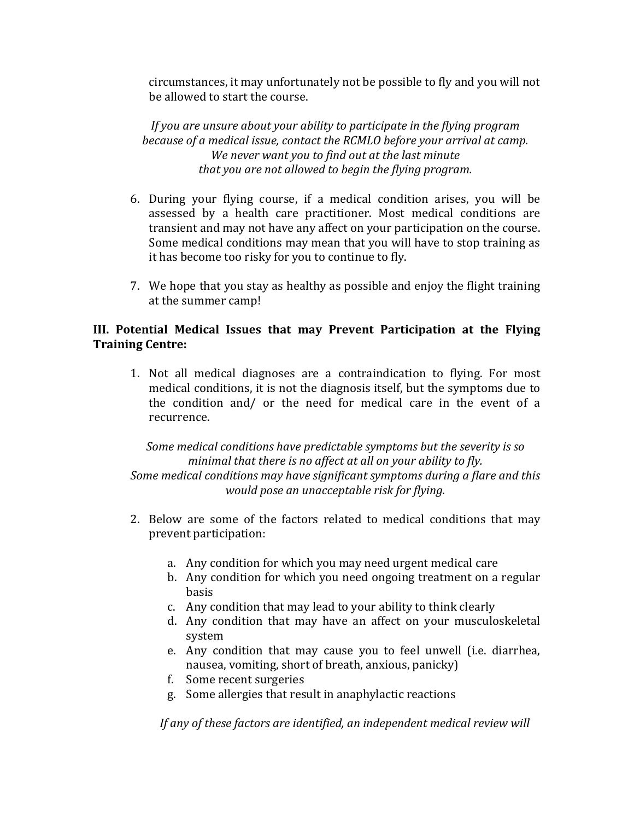circumstances, it may unfortunately not be possible to fly and you will not be allowed to start the course.

*If you are unsure about your ability to participate in the flying program because of a medical issue, contact the RCMLO before your arrival at camp. We never want you to find out at the last minute that you are not allowed to begin the flying program.*

- 6. During your flying course, if a medical condition arises, you will be assessed by a health care practitioner. Most medical conditions are transient and may not have any affect on your participation on the course. Some medical conditions may mean that you will have to stop training as it has become too risky for you to continue to fly.
- 7. We hope that you stay as healthy as possible and enjoy the flight training at the summer camp!

## **III. Potential Medical Issues that may Prevent Participation at the Flying Training Centre:**

1. Not all medical diagnoses are a contraindication to flying. For most medical conditions, it is not the diagnosis itself, but the symptoms due to the condition and/ or the need for medical care in the event of a recurrence.

*Some medical conditions have predictable symptoms but the severity is so minimal that there is no affect at all on your ability to fly. Some medical conditions may have significant symptoms during a flare and this would pose an unacceptable risk for flying.*

- 2. Below are some of the factors related to medical conditions that may prevent participation:
	- a. Any condition for which you may need urgent medical care
	- b. Any condition for which you need ongoing treatment on a regular basis
	- c. Any condition that may lead to your ability to think clearly
	- d. Any condition that may have an affect on your musculoskeletal system
	- e. Any condition that may cause you to feel unwell (i.e. diarrhea, nausea, vomiting, short of breath, anxious, panicky)
	- f. Some recent surgeries
	- g. Some allergies that result in anaphylactic reactions

*If any of these factors are identified, an independent medical review will*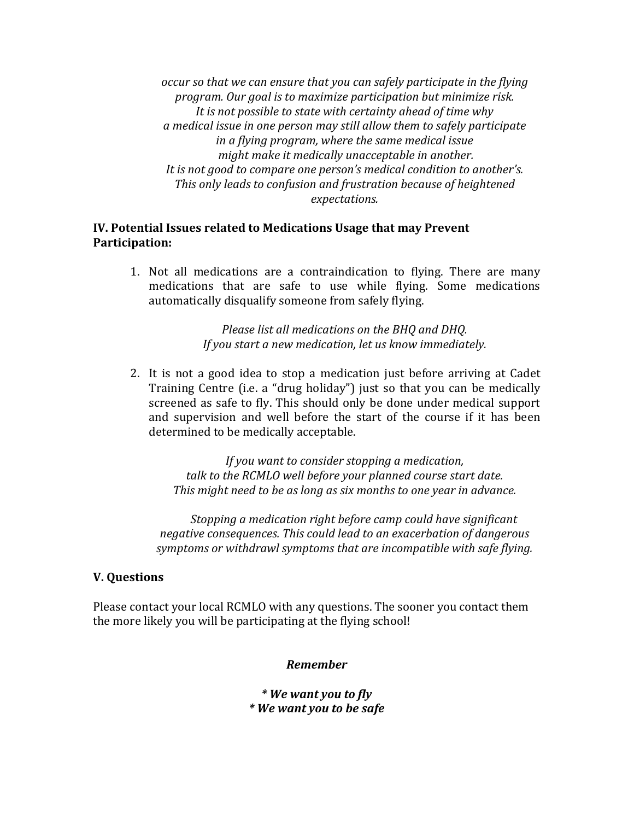*occur so that we can ensure that you can safely participate in the flying program. Our goal is to maximize participation but minimize risk. It is not possible to state with certainty ahead of time why a medical issue in one person may still allow them to safely participate in a flying program, where the same medical issue might make it medically unacceptable in another. It is not good to compare one person's medical condition to another's. This only leads to confusion and frustration because of heightened expectations.*

#### **IV. Potential Issues related to Medications Usage that may Prevent Participation:**

1. Not all medications are a contraindication to flying. There are many medications that are safe to use while flying. Some medications automatically disqualify someone from safely flying.

> *Please list all medications on the BHQ and DHQ. If you start a new medication, let us know immediately.*

2. It is not a good idea to stop a medication just before arriving at Cadet Training Centre (i.e. a "drug holiday") just so that you can be medically screened as safe to fly. This should only be done under medical support and supervision and well before the start of the course if it has been determined to be medically acceptable.

> *If you want to consider stopping a medication, talk to the RCMLO well before your planned course start date. This might need to be as long as six months to one year in advance.*

*Stopping a medication right before camp could have significant negative consequences. This could lead to an exacerbation of dangerous symptoms or withdrawl symptoms that are incompatible with safe flying.*

### **V. Questions**

Please contact your local RCMLO with any questions. The sooner you contact them the more likely you will be participating at the flying school!

*Remember*

*\* We want you to fly \* We want you to be safe*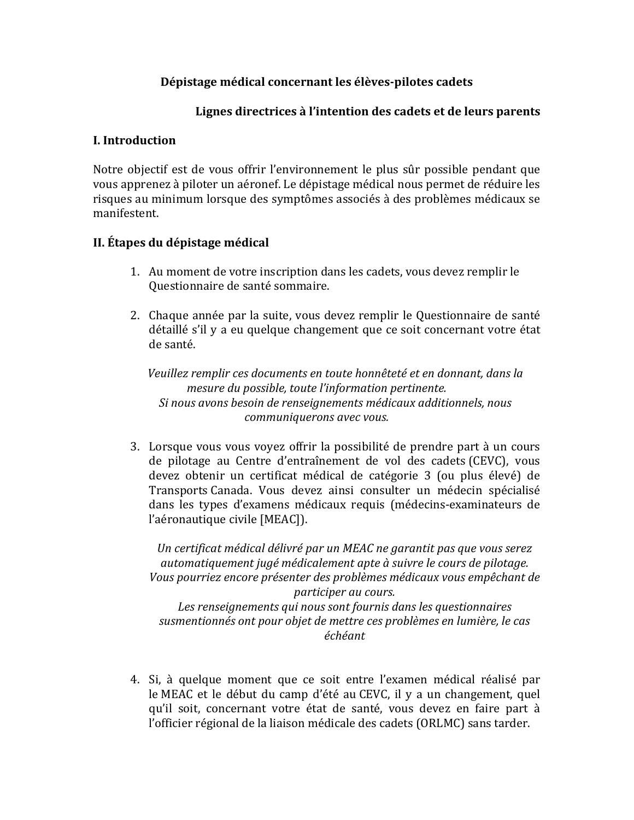### **Dépistage médical concernant les élèves-pilotes cadets**

## **Lignes directrices à l'intention des cadets et de leurs parents**

### **I. Introduction**

Notre objectif est de vous offrir l'environnement le plus sûr possible pendant que vous apprenez à piloter un aéronef. Le dépistage médical nous permet de réduire les risques au minimum lorsque des symptômes associés à des problèmes médicaux se manifestent.

## **II. Étapes du dépistage médical**

- 1. Au moment de votre inscription dans les cadets, vous devez remplir le Questionnaire de santé sommaire.
- 2. Chaque année par la suite, vous devez remplir le Questionnaire de santé détaillé s'il y a eu quelque changement que ce soit concernant votre état de santé.

*Veuillez remplir ces documents en toute honnêteté et en donnant, dans la mesure du possible, toute l'information pertinente. Si nous avons besoin de renseignements médicaux additionnels, nous communiquerons avec vous.*

3. Lorsque vous vous voyez offrir la possibilité de prendre part à un cours de pilotage au Centre d'entraînement de vol des cadets (CEVC), vous devez obtenir un certificat médical de catégorie 3 (ou plus élevé) de Transports Canada. Vous devez ainsi consulter un médecin spécialisé dans les types d'examens médicaux requis (médecins-examinateurs de l'aéronautique civile [MEAC]).

*Un certificat médical délivré par un MEAC ne garantit pas que vous serez automatiquement jugé médicalement apte à suivre le cours de pilotage. Vous pourriez encore présenter des problèmes médicaux vous empêchant de participer au cours. Les renseignements qui nous sont fournis dans les questionnaires susmentionnés ont pour objet de mettre ces problèmes en lumière, le cas échéant*

4. Si, à quelque moment que ce soit entre l'examen médical réalisé par le MEAC et le début du camp d'été au CEVC, il y a un changement, quel qu'il soit, concernant votre état de santé, vous devez en faire part à l'officier régional de la liaison médicale des cadets (ORLMC) sans tarder.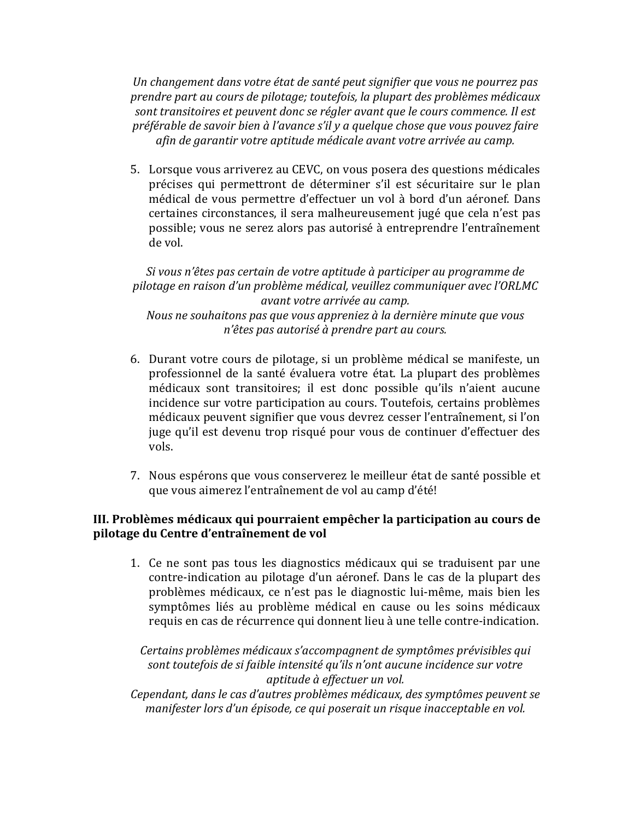*Un changement dans votre état de santé peut signifier que vous ne pourrez pas prendre part au cours de pilotage; toutefois, la plupart des problèmes médicaux sont transitoires et peuvent donc se régler avant que le cours commence. Il est préférable de savoir bien à l'avance s'il y a quelque chose que vous pouvez faire afin de garantir votre aptitude médicale avant votre arrivée au camp.*

5. Lorsque vous arriverez au CEVC, on vous posera des questions médicales précises qui permettront de déterminer s'il est sécuritaire sur le plan médical de vous permettre d'effectuer un vol à bord d'un aéronef. Dans certaines circonstances, il sera malheureusement jugé que cela n'est pas possible; vous ne serez alors pas autorisé à entreprendre l'entraînement de vol.

## *Si vous n'êtes pas certain de votre aptitude à participer au programme de pilotage en raison d'un problème médical, veuillez communiquer avec l'ORLMC avant votre arrivée au camp. Nous ne souhaitons pas que vous appreniez à la dernière minute que vous n'êtes pas autorisé à prendre part au cours.*

- 6. Durant votre cours de pilotage, si un problème médical se manifeste, un professionnel de la santé évaluera votre état. La plupart des problèmes médicaux sont transitoires; il est donc possible qu'ils n'aient aucune incidence sur votre participation au cours. Toutefois, certains problèmes médicaux peuvent signifier que vous devrez cesser l'entraînement, si l'on juge qu'il est devenu trop risqué pour vous de continuer d'effectuer des vols.
- 7. Nous espérons que vous conserverez le meilleur état de santé possible et que vous aimerez l'entraînement de vol au camp d'été!

## **III. Problèmes médicaux qui pourraient empêcher la participation au cours de pilotage du Centre d'entraînement de vol**

1. Ce ne sont pas tous les diagnostics médicaux qui se traduisent par une contre-indication au pilotage d'un aéronef. Dans le cas de la plupart des problèmes médicaux, ce n'est pas le diagnostic lui-même, mais bien les symptômes liés au problème médical en cause ou les soins médicaux requis en cas de récurrence qui donnent lieu à une telle contre-indication.

# *Certains problèmes médicaux s'accompagnent de symptômes prévisibles qui sont toutefois de si faible intensité qu'ils n'ont aucune incidence sur votre aptitude à effectuer un vol.*

*Cependant, dans le cas d'autres problèmes médicaux, des symptômes peuvent se manifester lors d'un épisode, ce qui poserait un risque inacceptable en vol.*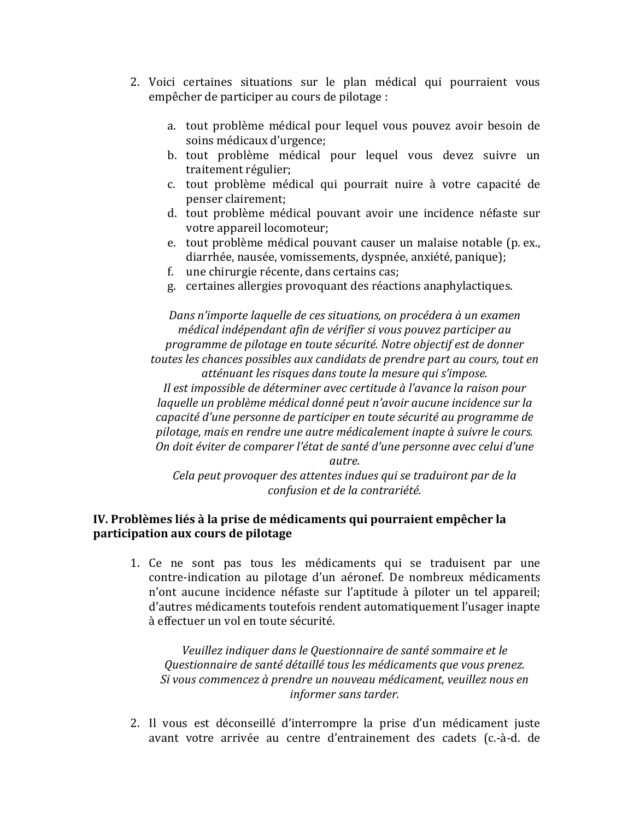- 2. Voici certaines situations sur le plan médical qui pourraient vous empêcher de participer au cours de pilotage :
	- a. tout problème médical pour lequel vous pouvez avoir besoin de soins médicaux d'urgence;
	- b. tout problème médical pour lequel vous devez suivre un traitement régulier;
	- c. tout problème médical qui pourrait nuire à votre capacité de penser clairement;
	- d. tout problème médical pouvant avoir une incidence néfaste sur votre appareil locomoteur;
	- e. tout problème médical pouvant causer un malaise notable (p. ex., diarrhée, nausée, vomissements, dyspnée, anxiété, panique);
	- f. une chirurgie récente, dans certains cas;
	- g. certaines allergies provoquant des réactions anaphylactiques.

*Dans n'importe laquelle de ces situations, on procédera à un examen médical indépendant afin de vérifier si vous pouvez participer au programme de pilotage en toute sécurité. Notre objectif est de donner toutes les chances possibles aux candidats de prendre part au cours, tout en atténuant les risques dans toute la mesure qui s'impose.* 

*Il est impossible de déterminer avec certitude à l'avance la raison pour laquelle un problème médical donné peut n'avoir aucune incidence sur la capacité d'une personne de participer en toute sécurité au programme de pilotage, mais en rendre une autre médicalement inapte à suivre le cours. On doit éviter de comparer l'état de santé d'une personne avec celui d'une* 

*autre.* 

*Cela peut provoquer des attentes indues qui se traduiront par de la confusion et de la contrariété.*

## **IV. Problèmes liés à la prise de médicaments qui pourraient empêcher la participation aux cours de pilotage**

1. Ce ne sont pas tous les médicaments qui se traduisent par une contre-indication au pilotage d'un aéronef. De nombreux médicaments n'ont aucune incidence néfaste sur l'aptitude à piloter un tel appareil; d'autres médicaments toutefois rendent automatiquement l'usager inapte à effectuer un vol en toute sécurité.

*Veuillez indiquer dans le Questionnaire de santé sommaire et le Questionnaire de santé détaillé tous les médicaments que vous prenez. Si vous commencez à prendre un nouveau médicament, veuillez nous en informer sans tarder.*

2. Il vous est déconseillé d'interrompre la prise d'un médicament juste avant votre arrivée au centre d'entrainement des cadets (c.-à-d. de